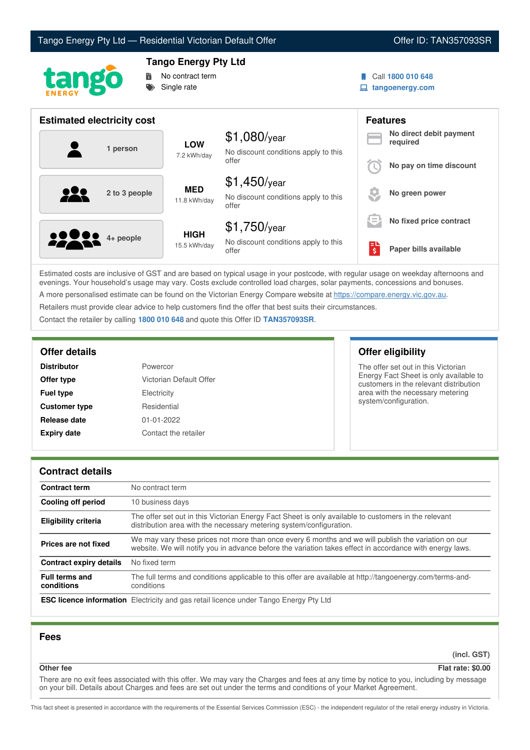



# **Tango Energy Pty Ltd**



Call **1800 010 648**

**tangoenergy.com**

| <b>Estimated electricity cost</b> |                             |                                                                 |    | <b>Features</b>                     |
|-----------------------------------|-----------------------------|-----------------------------------------------------------------|----|-------------------------------------|
| 1 person                          | <b>LOW</b><br>7.2 kWh/day   | $$1,080$ /year<br>No discount conditions apply to this          |    | No direct debit payment<br>required |
|                                   |                             | offer                                                           |    | No pay on time discount             |
| <u>929</u><br>2 to 3 people       | <b>MED</b><br>11.8 kWh/day  | $$1,450$ /year<br>No discount conditions apply to this<br>offer |    | No green power                      |
|                                   |                             | $$1,750$ /year                                                  | Œ  | No fixed price contract             |
| <b>2000</b> 4+ people             | <b>HIGH</b><br>15.5 kWh/day | No discount conditions apply to this<br>offer                   | \$ | Paper bills available               |

Estimated costs are inclusive of GST and are based on typical usage in your postcode, with regular usage on weekday afternoons and evenings. Your household's usage may vary. Costs exclude controlled load charges, solar payments, concessions and bonuses. A more personalised estimate can be found on the Victorian Energy Compare website at <https://compare.energy.vic.gov.au>.

Retailers must provide clear advice to help customers find the offer that best suits their circumstances.

Contact the retailer by calling **1800 010 648** and quote this Offer ID **TAN357093SR**.

| <b>Distributor</b>   | Powercor                |
|----------------------|-------------------------|
| Offer type           | Victorian Default Offer |
| <b>Fuel type</b>     | Electricity             |
| <b>Customer type</b> | Residential             |
| Release date         | 01-01-2022              |
| <b>Expiry date</b>   | Contact the retailer    |

## **Offer details Offer eligibility**

The offer set out in this Victorian Energy Fact Sheet is only available to customers in the relevant distribution area with the necessary metering system/configuration.

## **Contract details**

| <b>Contract term</b>                | No contract term                                                                                                                                                                                                |
|-------------------------------------|-----------------------------------------------------------------------------------------------------------------------------------------------------------------------------------------------------------------|
| Cooling off period                  | 10 business days                                                                                                                                                                                                |
| <b>Eligibility criteria</b>         | The offer set out in this Victorian Energy Fact Sheet is only available to customers in the relevant<br>distribution area with the necessary metering system/configuration.                                     |
| Prices are not fixed                | We may vary these prices not more than once every 6 months and we will publish the variation on our<br>website. We will notify you in advance before the variation takes effect in accordance with energy laws. |
| <b>Contract expiry details</b>      | No fixed term                                                                                                                                                                                                   |
| <b>Full terms and</b><br>conditions | The full terms and conditions applicable to this offer are available at http://tangoenergy.com/terms-and-<br>conditions                                                                                         |
|                                     | <b>ESC licence information</b> Electricity and gas retail licence under Tango Energy Pty Ltd                                                                                                                    |

## **Fees**

**(incl. GST)**

#### **Other fee Flat rate: \$0.00**

There are no exit fees associated with this offer. We may vary the Charges and fees at any time by notice to you, including by message on your bill. Details about Charges and fees are set out under the terms and conditions of your Market Agreement.

This fact sheet is presented in accordance with the requirements of the Essential Services Commission (ESC) - the independent regulator of the retail energy industry in Victoria.